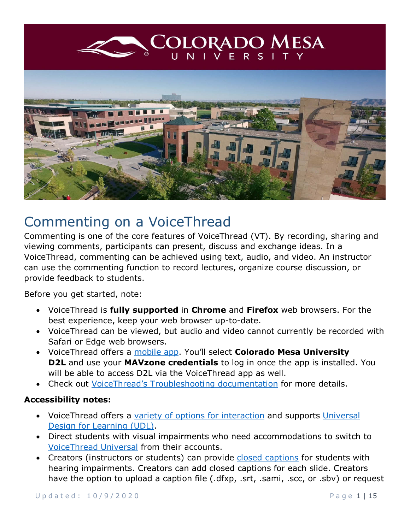<span id="page-0-0"></span>

# Commenting on a VoiceThread

Commenting is one of the core features of VoiceThread (VT). By recording, sharing and viewing comments, participants can present, discuss and exchange ideas. In a VoiceThread, commenting can be achieved using text, audio, and video. An instructor can use the commenting function to record lectures, organize course discussion, or provide feedback to students.

Before you get started, note:

- VoiceThread is **fully supported** in **Chrome** and **Firefox** web browsers. For the best experience, keep your web browser up-to-date.
- VoiceThread can be viewed, but audio and video cannot currently be recorded with Safari or Edge web browsers.
- VoiceThread offers a [mobile app.](https://voicethread.com/howto-categories/mobile-app/) You'll select **Colorado Mesa University D2L** and use your **MAVzone credentials** to log in once the app is installed. You will be able to access D2L via the VoiceThread app as well.
- Check out [VoiceThread's Troubleshooting documentation](https://voicethread.com/howto-categories/troubleshooting/) for more details.

#### **Accessibility notes:**

- VoiceThread offers a [variety of options for interaction](https://voicethread.com/about/features/accessibility) and supports Universal [Design for Learning \(UDL\).](https://voicethread.com/workshops/voicethread-and-universal-design-for-learning-udl-4/)
- Direct students with visual impairments who need accommodations to switch to [VoiceThread Universal](http://docs.voicethread.com/web-application/accessibility-web-application/voicethread-universal/) from their accounts.
- Creators (instructors or students) can provide [closed captions](http://docs.voicethread.com/web-application/accessibility-web-application/closed-captioning/) for students with hearing impairments. Creators can add closed captions for each slide. Creators have the option to upload a caption file (.dfxp, .srt, .sami, .scc, or .sbv) or request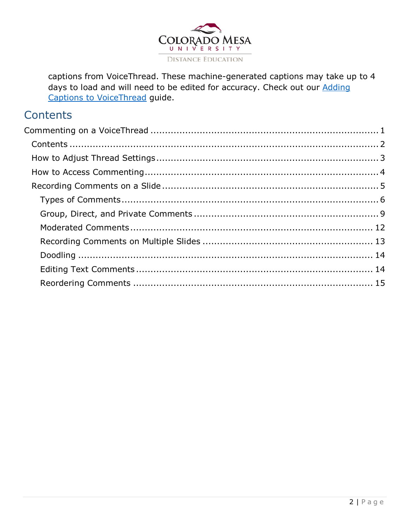

captions from VoiceThread. These machine-generated captions may take up to 4 days to load and will need to be edited for accuracy. Check out our Adding Captions to VoiceThread guide.

## <span id="page-1-0"></span>**Contents**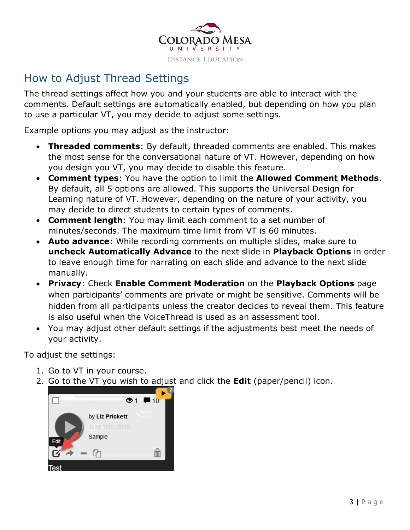

## <span id="page-2-0"></span>How to Adjust Thread Settings

The thread settings affect how you and your students are able to interact with the comments. Default settings are automatically enabled, but depending on how you plan to use a particular VT, you may decide to adjust some settings.

Example options you may adjust as the instructor:

- **Threaded comments**: By default, threaded comments are enabled. This makes the most sense for the conversational nature of VT. However, depending on how you design you VT, you may decide to disable this feature.
- **Comment types**: You have the option to limit the **Allowed Comment Methods**. By default, all 5 options are allowed. This supports the Universal Design for Learning nature of VT. However, depending on the nature of your activity, you may decide to direct students to certain types of comments.
- **Comment length**: You may limit each comment to a set number of minutes/seconds. The maximum time limit from VT is 60 minutes.
- **Auto advance**: While recording comments on multiple slides, make sure to **uncheck Automatically Advance** to the next slide in **Playback Options** in order to leave enough time for narrating on each slide and advance to the next slide manually.
- **Privacy**: Check **Enable Comment Moderation** on the **Playback Options** page when participants' comments are private or might be sensitive. Comments will be hidden from all participants unless the creator decides to reveal them. This feature is also useful when the VoiceThread is used as an assessment tool.
- You may adjust other default settings if the adjustments best meet the needs of your activity.

To adjust the settings:

- 1. Go to VT in your course.
- 2. Go to the VT you wish to adjust and click the **Edit** (paper/pencil) icon.

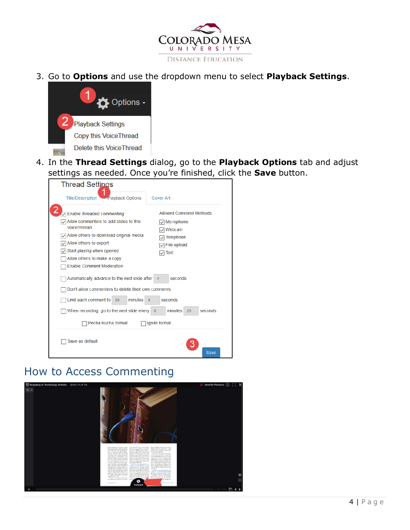

3. Go to **Options** and use the dropdown menu to select **Playback Settings**.



4. In the **Thread Settings** dialog, go to the **Playback Options** tab and adjust settings as needed. Once you're finished, click the **Save** button.

| <b>Thread Settings</b>                                                                                                                                                                                                                                             |                                                                                                               |
|--------------------------------------------------------------------------------------------------------------------------------------------------------------------------------------------------------------------------------------------------------------------|---------------------------------------------------------------------------------------------------------------|
| <b>Playback Options</b><br><b>Title/Description</b>                                                                                                                                                                                                                | <b>Cover Art</b>                                                                                              |
| Enable threaded commenting<br>Allow commenters to add slides to this<br>VoiceThread<br>$\sqrt{}$ Allow others to download original media<br>Allow others to export<br>Start playing when opened<br>Allow others to make a copy<br><b>Enable Comment Moderation</b> | <b>Allowed Comment Methods</b><br>$\sqrt{\ }$ Microphone<br>Webcam<br>Telephone<br>File upload<br><b>Text</b> |
| Automatically advance to the next slide after<br>Don't allow commenters to delete their own comments<br>Limit each comment to<br>minutes<br>60<br>When recording, go to the next slide every                                                                       | seconds<br>4<br>seconds<br>$\Omega$<br>minutes<br>seconds<br>20<br>$\overline{0}$                             |
| Pecha Kucha format<br>Save as default                                                                                                                                                                                                                              | Ignite format<br>Save                                                                                         |

## <span id="page-3-0"></span>How to Access Commenting

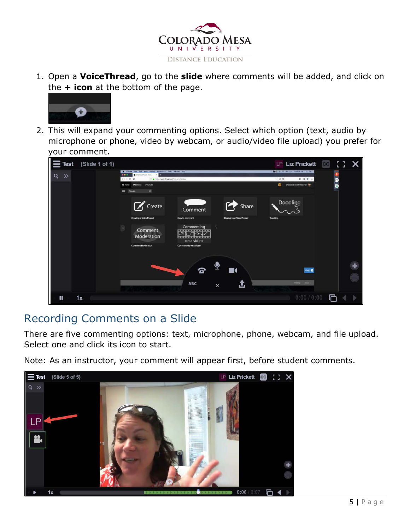

1. Open a **VoiceThread**, go to the **slide** where comments will be added, and click on the **+ icon** at the bottom of the page.



2. This will expand your commenting options. Select which option (text, audio by microphone or phone, video by webcam, or audio/video file upload) you prefer for your comment.

| $\equiv$ Test |    | (Slide 1 of 1) |                                                                                                                                                                                   |                                                   |          |                                          |                         | LP Liz Prickett                                                                                | E 3.      |  |
|---------------|----|----------------|-----------------------------------------------------------------------------------------------------------------------------------------------------------------------------------|---------------------------------------------------|----------|------------------------------------------|-------------------------|------------------------------------------------------------------------------------------------|-----------|--|
| $Q \gg$       |    | $\leftarrow$   | C Firstin for EBI View History Roomarks Tools Writow Help<br>G (64) Notari Federi - Forms<br><br>$\alpha$<br>$\circ$<br><b>Different Lift Browns</b> / Create<br>$=$<br>Tutorials | The Internovement controverse three               |          |                                          | $\cdots \otimes \alpha$ | <b>BQ # P WITH NATISHW Q IE</b><br>$m \oplus \mathcal{C} \equiv$<br>C2 chaires@voicethread.net | $\bullet$ |  |
|               |    |                | $\sqrt{ }$ Create<br><b>Creating a VoiceThread</b>                                                                                                                                | Comment<br><b>How to comment</b>                  |          | Share<br><b>Sharing your VoiceThread</b> | <b>Doodling</b>         | Doodling                                                                                       |           |  |
|               |    | $\mathcal{D}$  | Comment<br>Moderation<br><b>Comment Moderation</b>                                                                                                                                | Commenting<br>on a video<br>Commenting on a Video |          |                                          |                         |                                                                                                |           |  |
|               |    |                |                                                                                                                                                                                   | đ                                                 |          |                                          |                         | Help $\mathbf 0$                                                                               |           |  |
|               |    |                |                                                                                                                                                                                   | ABC                                               | $\times$ |                                          |                         | <b>Same College</b>                                                                            |           |  |
| $\mathbf{u}$  | 1x |                |                                                                                                                                                                                   |                                                   |          |                                          |                         | 0:00 / 0:00                                                                                    |           |  |

## <span id="page-4-0"></span>Recording Comments on a Slide

There are five commenting options: text, microphone, phone, webcam, and file upload. Select one and click its icon to start.

Note: As an instructor, your comment will appear first, before student comments.

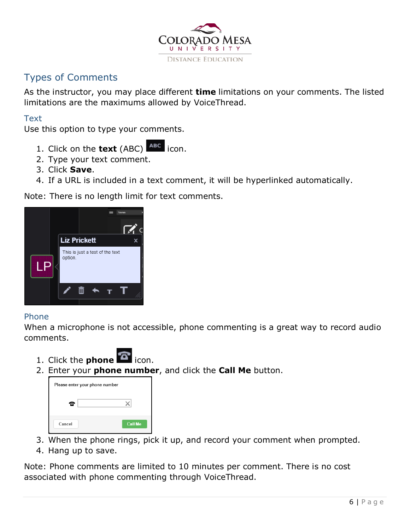

## <span id="page-5-0"></span>Types of Comments

As the instructor, you may place different **time** limitations on your comments. The listed limitations are the maximums allowed by VoiceThread.

### **Text**

Use this option to type your comments.

- 1. Click on the **text** (ABC) ABC icon.
- 2. Type your text comment.
- 3. Click **Save**.
- 4. If a URL is included in a text comment, it will be hyperlinked automatically.

Note: There is no length limit for text comments.



### Phone

When a microphone is not accessible, phone commenting is a great way to record audio comments.

- 1. Click the **phone 1** icon.
- 2. Enter your **phone number**, and click the **Call Me** button.

| Please enter your phone number |                |
|--------------------------------|----------------|
| 'n                             |                |
| Cancel                         | <b>Call Me</b> |

- 3. When the phone rings, pick it up, and record your comment when prompted.
- 4. Hang up to save.

Note: Phone comments are limited to 10 minutes per comment. There is no cost associated with phone commenting through VoiceThread.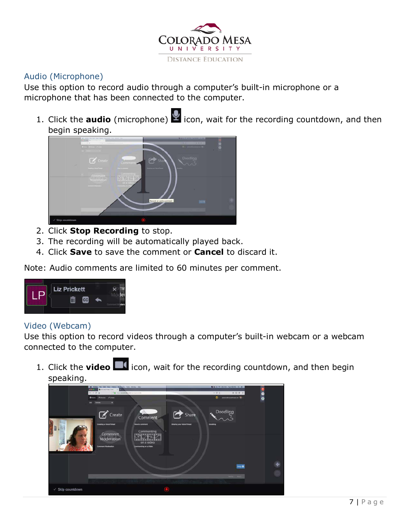

### Audio (Microphone)

Use this option to record audio through a computer's built-in microphone or a microphone that has been connected to the computer.

1. Click the **audio** (microphone) **in the latta value for the recording countdown, and then** begin speaking.



- 2. Click **Stop Recording** to stop.
- 3. The recording will be automatically played back.
- 4. Click **Save** to save the comment or **Cancel** to discard it.

Note: Audio comments are limited to 60 minutes per comment.



#### Video (Webcam)

Use this option to record videos through a computer's built-in webcam or a webcam connected to the computer.

1. Click the **video interpr** icon, wait for the recording countdown, and then begin speaking.

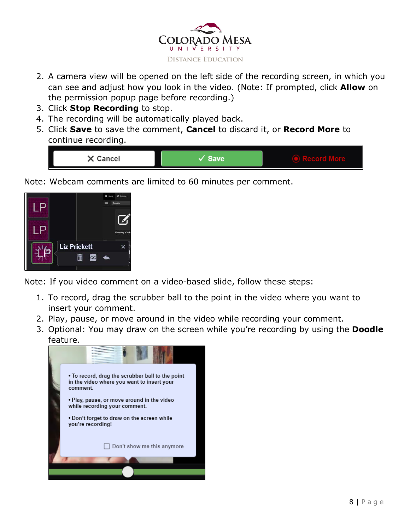

- 2. A camera view will be opened on the left side of the recording screen, in which you can see and adjust how you look in the video. (Note: If prompted, click **Allow** on the permission popup page before recording.)
- 3. Click **Stop Recording** to stop.
- 4. The recording will be automatically played back.
- 5. Click **Save** to save the comment, **Cancel** to discard it, or **Record More** to continue recording.



Note: Webcam comments are limited to 60 minutes per comment.



Note: If you video comment on a video-based slide, follow these steps:

- 1. To record, drag the scrubber ball to the point in the video where you want to insert your comment.
- 2. Play, pause, or move around in the video while recording your comment.
- 3. Optional: You may draw on the screen while you're recording by using the **Doodle** feature.

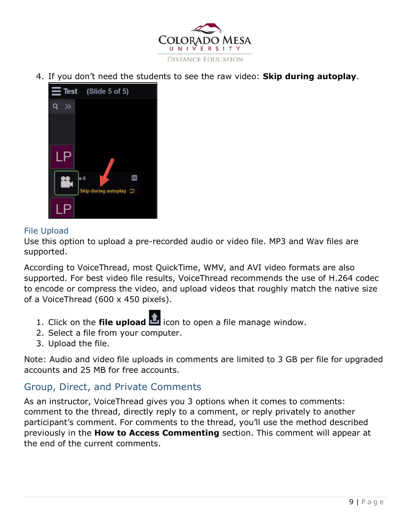

4. If you don't need the students to see the raw video: **Skip during autoplay**.



#### File Upload

Use this option to upload a pre-recorded audio or video file. MP3 and Wav files are supported.

According to VoiceThread, most QuickTime, WMV, and AVI video formats are also supported. For best video file results, VoiceThread recommends the use of H.264 codec to encode or compress the video, and upload videos that roughly match the native size of a VoiceThread (600 x 450 pixels).

- 1. Click on the **file upload** icon to open a file manage window.
- 2. Select a file from your computer.
- 3. Upload the file.

Note: Audio and video file uploads in comments are limited to 3 GB per file for upgraded accounts and 25 MB for free accounts.

## <span id="page-8-0"></span>Group, Direct, and Private Comments

As an instructor, VoiceThread gives you 3 options when it comes to comments: comment to the thread, directly reply to a comment, or reply privately to another participant's comment. For comments to the thread, you'll use the method described previously in the **How to Access Commenting** section. This comment will appear at the end of the current comments.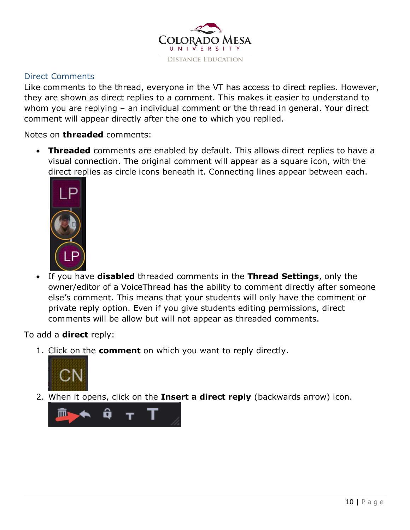

### Direct Comments

Like comments to the thread, everyone in the VT has access to direct replies. However, they are shown as direct replies to a comment. This makes it easier to understand to whom you are replying – an individual comment or the thread in general. Your direct comment will appear directly after the one to which you replied.

Notes on **threaded** comments:

• **Threaded** comments are enabled by default. This allows direct replies to have a visual connection. The original comment will appear as a square icon, with the direct replies as circle icons beneath it. Connecting lines appear between each.



• If you have **disabled** threaded comments in the **Thread Settings**, only the owner/editor of a VoiceThread has the ability to comment directly after someone else's comment. This means that your students will only have the comment or private reply option. Even if you give students editing permissions, direct comments will be allow but will not appear as threaded comments.

To add a **direct** reply:

1. Click on the **comment** on which you want to reply directly.



2. When it opens, click on the **Insert a direct reply** (backwards arrow) icon.

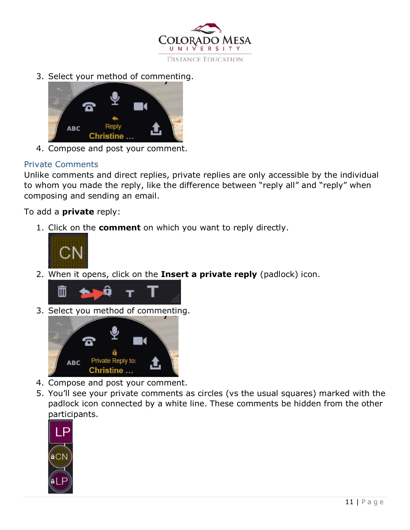

3. Select your method of commenting.



4. Compose and post your comment.

### Private Comments

Unlike comments and direct replies, private replies are only accessible by the individual to whom you made the reply, like the difference between "reply all" and "reply" when composing and sending an email.

To add a **private** reply:

1. Click on the **comment** on which you want to reply directly.



2. When it opens, click on the **Insert a private reply** (padlock) icon.



3. Select you method of commenting.



- 4. Compose and post your comment.
- 5. You'll see your private comments as circles (vs the usual squares) marked with the padlock icon connected by a white line. These comments be hidden from the other participants.

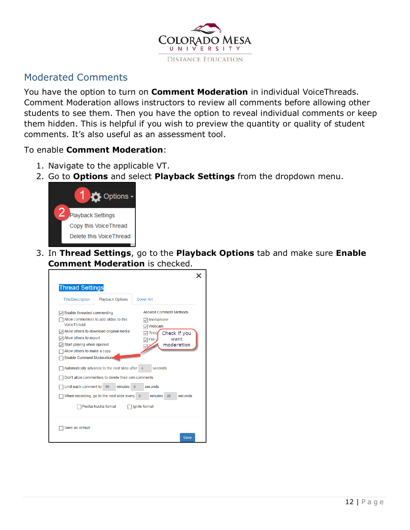

## <span id="page-11-0"></span>Moderated Comments

You have the option to turn on **Comment Moderation** in individual VoiceThreads. Comment Moderation allows instructors to review all comments before allowing other students to see them. Then you have the option to reveal individual comments or keep them hidden. This is helpful if you wish to preview the quantity or quality of student comments. It's also useful as an assessment tool.

#### To enable **Comment Moderation**:

- 1. Navigate to the applicable VT.
- 2. Go to **Options** and select **Playback Settings** from the dropdown menu.



3. In **Thread Settings**, go to the **Playback Options** tab and make sure **Enable Comment Moderation** is checked.

| <b>Thread Settings</b>                                                   |                                                                                                      |                                                         |  |
|--------------------------------------------------------------------------|------------------------------------------------------------------------------------------------------|---------------------------------------------------------|--|
| <b>Title/Description</b>                                                 | <b>Playback Options</b>                                                                              | Cover Art                                               |  |
| Enable threaded commenting                                               |                                                                                                      | <b>Allowed Comment Methods</b>                          |  |
| VoiceThread                                                              | Allow commenters to add slides to this                                                               | Microphone<br>Webcam                                    |  |
| $\sqrt{}$ Allow others to export<br>$\sqrt{ }$ Start playing when opened | Allow others to download original media                                                              | Check if you<br>Telep<br>want<br>フ File (<br>moderation |  |
| Allow others to make a copy<br><b>Enable Comment Moderation</b>          |                                                                                                      |                                                         |  |
|                                                                          | Automatically advance to the next slide after<br>Don't allow commenters to delete their own comments | seconds<br>$\overline{4}$                               |  |
| Limit each comment to                                                    | minutes<br>60                                                                                        | seconds<br>$\Omega$                                     |  |
|                                                                          | When recording, go to the next slide every                                                           | minutes<br>seconds<br>20<br>$\bf{0}$                    |  |
|                                                                          | Pecha Kucha format                                                                                   | Ignite format                                           |  |
| Save as default                                                          |                                                                                                      |                                                         |  |
|                                                                          |                                                                                                      | Save                                                    |  |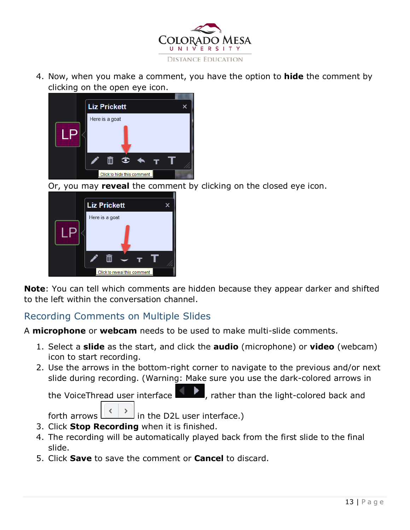

4. Now, when you make a comment, you have the option to **hide** the comment by clicking on the open eye icon.



Or, you may **reveal** the comment by clicking on the closed eye icon.



**Note**: You can tell which comments are hidden because they appear darker and shifted to the left within the conversation channel.

## <span id="page-12-0"></span>Recording Comments on Multiple Slides

A **microphone** or **webcam** needs to be used to make multi-slide comments.

- 1. Select a **slide** as the start, and click the **audio** (microphone) or **video** (webcam) icon to start recording.
- 2. Use the arrows in the bottom-right corner to navigate to the previous and/or next slide during recording. (Warning: Make sure you use the dark-colored arrows in

the VoiceThread user interface  $\Box$ , rather than the light-colored back and



- 3. Click **Stop Recording** when it is finished.
- 4. The recording will be automatically played back from the first slide to the final slide.
- 5. Click **Save** to save the comment or **Cancel** to discard.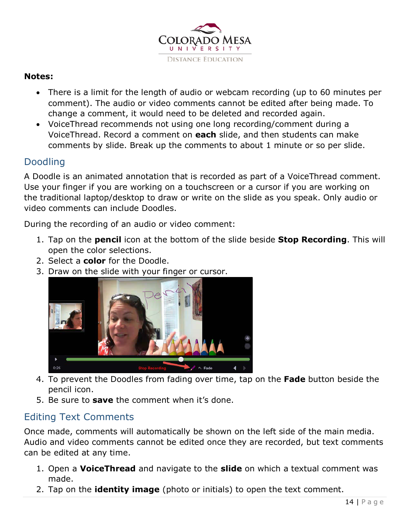

#### **Notes:**

- There is a limit for the length of audio or webcam recording (up to 60 minutes per comment). The audio or video comments cannot be edited after being made. To change a comment, it would need to be deleted and recorded again.
- VoiceThread recommends not using one long recording/comment during a VoiceThread. Record a comment on **each** slide, and then students can make comments by slide. Break up the comments to about 1 minute or so per slide.

## <span id="page-13-0"></span>Doodling

A Doodle is an animated annotation that is recorded as part of a VoiceThread comment. Use your finger if you are working on a touchscreen or a cursor if you are working on the traditional laptop/desktop to draw or write on the slide as you speak. Only audio or video comments can include Doodles.

During the recording of an audio or video comment:

- 1. Tap on the **pencil** icon at the bottom of the slide beside **Stop Recording**. This will open the color selections.
- 2. Select a **color** for the Doodle.
- 3. Draw on the slide with your finger or cursor.



- 4. To prevent the Doodles from fading over time, tap on the **Fade** button beside the pencil icon.
- 5. Be sure to **save** the comment when it's done.

## <span id="page-13-1"></span>Editing Text Comments

Once made, comments will automatically be shown on the left side of the main media. Audio and video comments cannot be edited once they are recorded, but text comments can be edited at any time.

- 1. Open a **VoiceThread** and navigate to the **slide** on which a textual comment was made.
- 2. Tap on the **identity image** (photo or initials) to open the text comment.